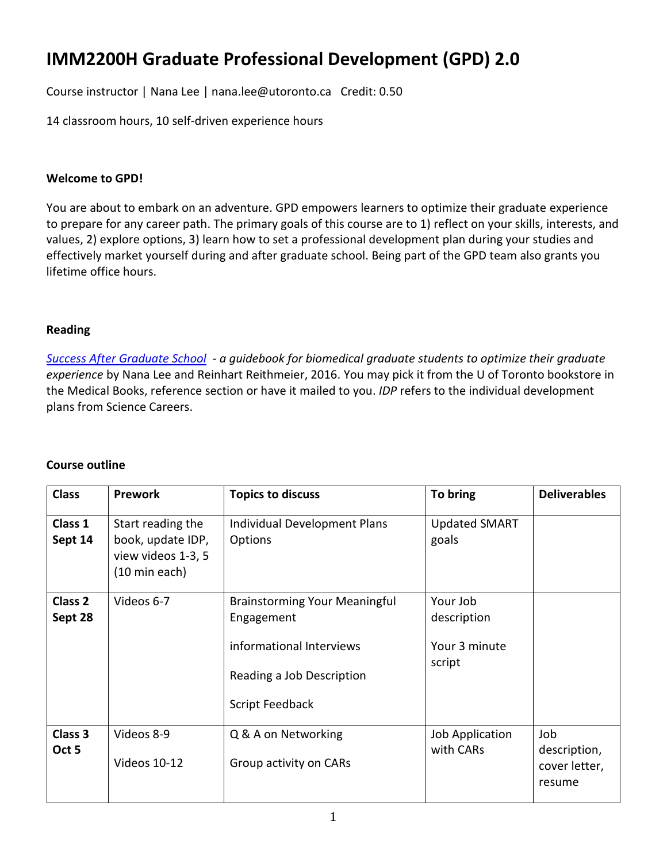# **IMM2200H Graduate Professional Development (GPD) 2.0**

Course instructor | Nana Lee | nana.lee@utoronto.ca Credit: 0.50

14 classroom hours, 10 self-driven experience hours

# **Welcome to GPD!**

You are about to embark on an adventure. GPD empowers learners to optimize their graduate experience to prepare for any career path. The primary goals of this course are to 1) reflect on your skills, interests, and values, 2) explore options, 3) learn how to set a professional development plan during your studies and effectively market yourself during and after graduate school. Being part of the GPD team also grants you lifetime office hours.

# **Reading**

*[Success After Graduate School](https://uoftbookstore.com/shop_product_detail.asp?catalog_group_id=MTMxXFwgNjE&catalog_group_name=TWVkaWNhbFxcIE1lZGljYWwgUmVmZXJlbmNl&catalog_id=419&catalog_name=UmVmZXJlbmNl&pf_id=368000&product_name=U3VjY2VzcyBBZnRlciBHcmFkdWF0ZSBTY2hvb2wgKEJvb2twb2QgUHJpbnQp&type=3&target=shop_product_list.asp) - a guidebook for biomedical graduate students to optimize their graduate experience* by Nana Lee and Reinhart Reithmeier, 2016. You may pick it from the U of Toronto bookstore in the Medical Books, reference section or have it mailed to you. *IDP* refers to the individual development plans from Science Careers.

#### **Course outline**

| <b>Class</b>                  | <b>Prework</b>                                                                | <b>Topics to discuss</b>                                                                                                       | To bring                                           | <b>Deliverables</b>                            |
|-------------------------------|-------------------------------------------------------------------------------|--------------------------------------------------------------------------------------------------------------------------------|----------------------------------------------------|------------------------------------------------|
| Class 1<br>Sept 14            | Start reading the<br>book, update IDP,<br>view videos 1-3, 5<br>(10 min each) | Individual Development Plans<br>Options                                                                                        | <b>Updated SMART</b><br>goals                      |                                                |
| Class <sub>2</sub><br>Sept 28 | Videos 6-7                                                                    | <b>Brainstorming Your Meaningful</b><br>Engagement<br>informational Interviews<br>Reading a Job Description<br>Script Feedback | Your Job<br>description<br>Your 3 minute<br>script |                                                |
| Class 3<br>Oct 5              | Videos 8-9<br>Videos 10-12                                                    | Q & A on Networking<br>Group activity on CARs                                                                                  | Job Application<br>with CARs                       | Job<br>description,<br>cover letter,<br>resume |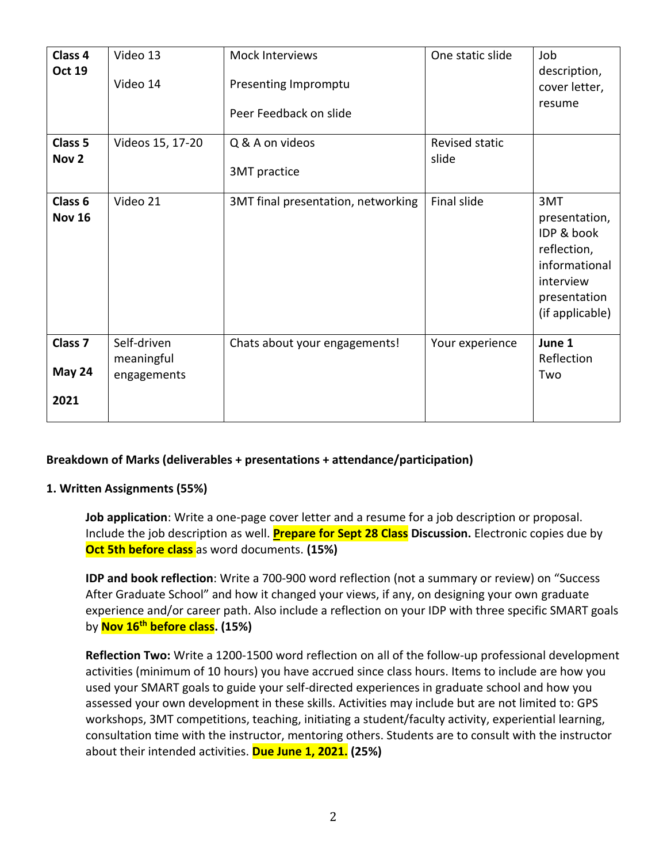| Class <sub>4</sub><br><b>Oct 19</b>  | Video 13<br>Video 14                     | Mock Interviews<br>Presenting Impromptu<br>Peer Feedback on slide | One static slide        | Job<br>description,<br>cover letter,<br>resume                                                                     |
|--------------------------------------|------------------------------------------|-------------------------------------------------------------------|-------------------------|--------------------------------------------------------------------------------------------------------------------|
| Class 5<br>Nov <sub>2</sub>          | Videos 15, 17-20                         | Q & A on videos<br>3MT practice                                   | Revised static<br>slide |                                                                                                                    |
| Class 6<br><b>Nov 16</b>             | Video 21                                 | 3MT final presentation, networking                                | Final slide             | 3MT<br>presentation,<br>IDP & book<br>reflection,<br>informational<br>interview<br>presentation<br>(if applicable) |
| Class <sub>7</sub><br>May 24<br>2021 | Self-driven<br>meaningful<br>engagements | Chats about your engagements!                                     | Your experience         | June 1<br>Reflection<br>Two                                                                                        |

# **Breakdown of Marks (deliverables + presentations + attendance/participation)**

#### **1. Written Assignments (55%)**

**Job application**: Write a one-page cover letter and a resume for a job description or proposal. Include the job description as well. **Prepare for Sept 28 Class Discussion.** Electronic copies due by **Oct 5th before class** as word documents. **(15%)**

**IDP and book reflection**: Write a 700-900 word reflection (not a summary or review) on "Success After Graduate School" and how it changed your views, if any, on designing your own graduate experience and/or career path. Also include a reflection on your IDP with three specific SMART goals by **Nov 16th before class. (15%)**

**Reflection Two:** Write a 1200-1500 word reflection on all of the follow-up professional development activities (minimum of 10 hours) you have accrued since class hours. Items to include are how you used your SMART goals to guide your self-directed experiences in graduate school and how you assessed your own development in these skills. Activities may include but are not limited to: GPS workshops, 3MT competitions, teaching, initiating a student/faculty activity, experiential learning, consultation time with the instructor, mentoring others. Students are to consult with the instructor about their intended activities. **Due June 1, 2021. (25%)**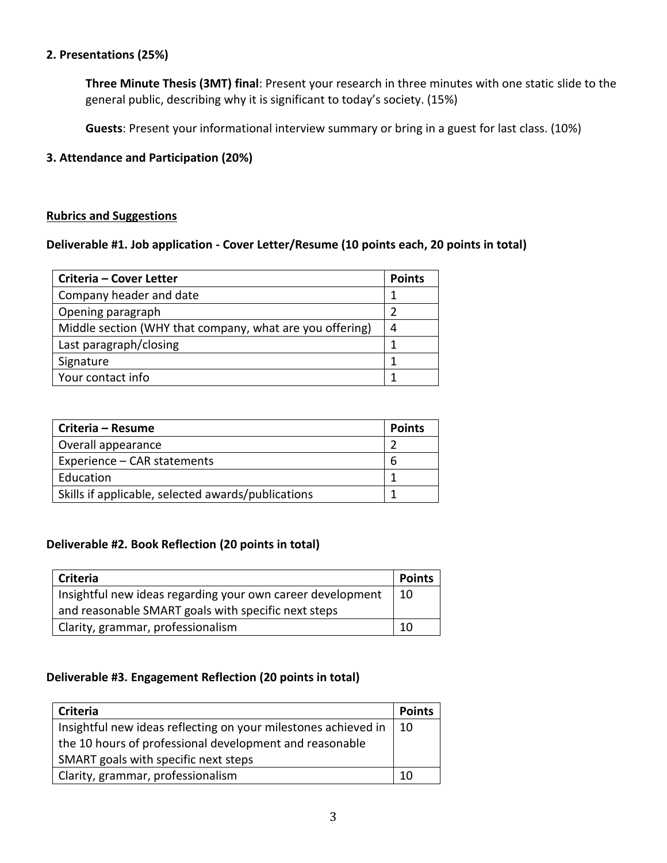# **2. Presentations (25%)**

**Three Minute Thesis (3MT) final**: Present your research in three minutes with one static slide to the general public, describing why it is significant to today's society. (15%)

**Guests**: Present your informational interview summary or bring in a guest for last class. (10%)

# **3. Attendance and Participation (20%)**

#### **Rubrics and Suggestions**

# **Deliverable #1. Job application - Cover Letter/Resume (10 points each, 20 points in total)**

| Criteria - Cover Letter                                  | <b>Points</b> |
|----------------------------------------------------------|---------------|
| Company header and date                                  |               |
| Opening paragraph                                        |               |
| Middle section (WHY that company, what are you offering) | 4             |
| Last paragraph/closing                                   |               |
| Signature                                                |               |
| Your contact info                                        |               |

| Criteria - Resume                                  | <b>Points</b> |
|----------------------------------------------------|---------------|
| Overall appearance                                 |               |
| Experience – CAR statements                        | b             |
| Education                                          |               |
| Skills if applicable, selected awards/publications |               |

#### **Deliverable #2. Book Reflection (20 points in total)**

| <b>Criteria</b>                                            | <b>Points</b> |
|------------------------------------------------------------|---------------|
| Insightful new ideas regarding your own career development | -10           |
| and reasonable SMART goals with specific next steps        |               |
| Clarity, grammar, professionalism                          | 10            |

# **Deliverable #3. Engagement Reflection (20 points in total)**

| Criteria                                                       | <b>Points</b> |
|----------------------------------------------------------------|---------------|
| Insightful new ideas reflecting on your milestones achieved in | - 10          |
| the 10 hours of professional development and reasonable        |               |
| SMART goals with specific next steps                           |               |
| Clarity, grammar, professionalism                              | 10            |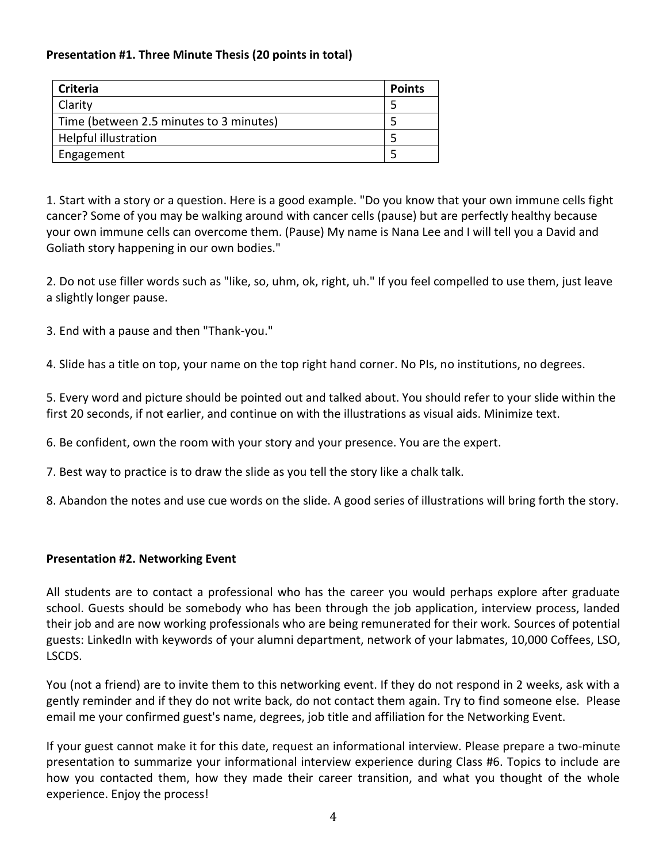# **Presentation #1. Three Minute Thesis (20 points in total)**

| <b>Criteria</b>                         | <b>Points</b> |
|-----------------------------------------|---------------|
| Clarity                                 |               |
| Time (between 2.5 minutes to 3 minutes) |               |
| Helpful illustration                    |               |
| Engagement                              |               |

1. Start with a story or a question. Here is a good example. "Do you know that your own immune cells fight cancer? Some of you may be walking around with cancer cells (pause) but are perfectly healthy because your own immune cells can overcome them. (Pause) My name is Nana Lee and I will tell you a David and Goliath story happening in our own bodies."

2. Do not use filler words such as "like, so, uhm, ok, right, uh." If you feel compelled to use them, just leave a slightly longer pause.

3. End with a pause and then "Thank-you."

4. Slide has a title on top, your name on the top right hand corner. No PIs, no institutions, no degrees.

5. Every word and picture should be pointed out and talked about. You should refer to your slide within the first 20 seconds, if not earlier, and continue on with the illustrations as visual aids. Minimize text.

6. Be confident, own the room with your story and your presence. You are the expert.

7. Best way to practice is to draw the slide as you tell the story like a chalk talk.

8. Abandon the notes and use cue words on the slide. A good series of illustrations will bring forth the story.

# **Presentation #2. Networking Event**

All students are to contact a professional who has the career you would perhaps explore after graduate school. Guests should be somebody who has been through the job application, interview process, landed their job and are now working professionals who are being remunerated for their work. Sources of potential guests: LinkedIn with keywords of your alumni department, network of your labmates, 10,000 Coffees, LSO, LSCDS.

You (not a friend) are to invite them to this networking event. If they do not respond in 2 weeks, ask with a gently reminder and if they do not write back, do not contact them again. Try to find someone else. Please email me your confirmed guest's name, degrees, job title and affiliation for the Networking Event.

If your guest cannot make it for this date, request an informational interview. Please prepare a two-minute presentation to summarize your informational interview experience during Class #6. Topics to include are how you contacted them, how they made their career transition, and what you thought of the whole experience. Enjoy the process!